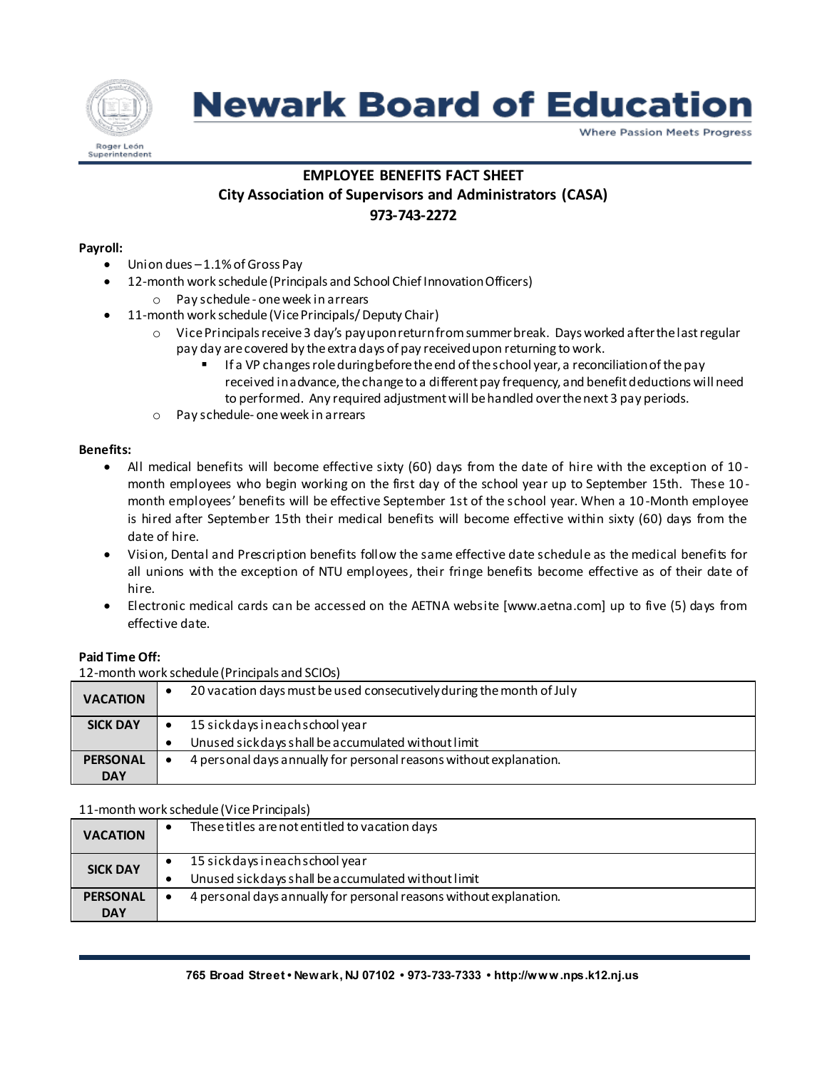

# **Newark Board of Education**

**Where Passion Meets Progress** 

## **EMPLOYEE BENEFITS FACT SHEET**

## **City Association of Supervisors and Administrators (CASA) 973-743-2272**

#### **Payroll:**

- Union dues –1.1% of Gross Pay
- 12-month work schedule(Principals and School Chief Innovation Officers)
	- o Pay schedule one week in arrears
- 11-month work schedule (Vice Principals/ Deputy Chair)
	- o Vice Principals receive 3 day's payupon return from summer break. Days worked after the last regular pay day are covered by the extra days of pay received upon returning to work.
		- If a VP changes role during before the end of the school year, a reconciliation of the pay received in advance, the change to a different pay frequency, and benefit deductions will need to performed. Any required adjustment will be handled over the next 3 pay periods.
	- o Pay schedule- one week in arrears

#### **Benefits:**

- All medical benefits will become effective sixty (60) days from the date of hire with the exception of 10 month employees who begin working on the first day of the school year up to September 15th. These 10 month employees' benefits will be effective September 1st of the school year. When a 10 -Month employee is hired after September 15th their medical benefits will become effective within sixty (60) days from the date of hire.
- Vision, Dental and Prescription benefits follow the same effective date schedule as the medical benefits for all unions with the exception of NTU employees, their fringe benefits become effective as of their date of hire.
- Electronic medical cards can be accessed on the AETNA website [www.aetna.com] up to five (5) days from effective date.

#### **Paid Time Off:**

12-month work schedule (Principals and SCIOs)

| <b>VACATION</b> | ٠                                                                               | 20 vacation days must be used consecutively during the month of July |  |
|-----------------|---------------------------------------------------------------------------------|----------------------------------------------------------------------|--|
| <b>SICK DAY</b> | ٠                                                                               | 15 sick days in each school year                                     |  |
|                 | $\bullet$                                                                       | Unused sick days shall be accumulated without limit                  |  |
| <b>PERSONAL</b> | 4 personal days annually for personal reasons without explanation.<br>$\bullet$ |                                                                      |  |
| <b>DAY</b>      |                                                                                 |                                                                      |  |

#### 11-month work schedule (Vice Principals)

| <b>VACATION</b>               |  | These titles are not entitled to vacation days                                          |  |  |
|-------------------------------|--|-----------------------------------------------------------------------------------------|--|--|
| <b>SICK DAY</b>               |  | 15 sick days in each school year<br>Unused sick days shall be accumulated without limit |  |  |
| <b>PERSONAL</b><br><b>DAY</b> |  | 4 personal days annually for personal reasons without explanation.                      |  |  |